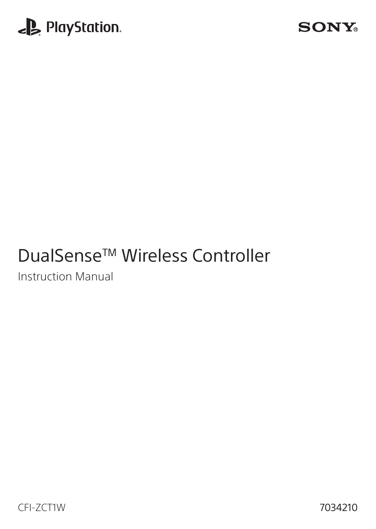

### **SONY**

# DualSense<sup>™</sup> Wireless Controller

Instruction Manual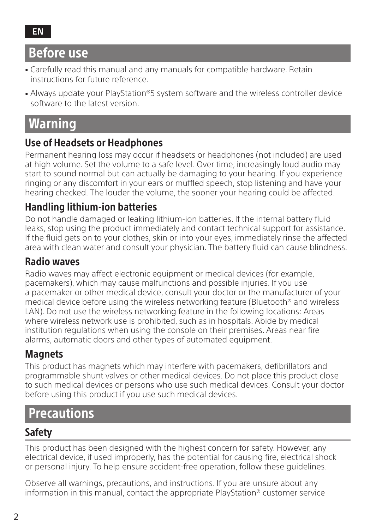## Before use

- Carefully read this manual and any manuals for compatible hardware. Retain instructions for future reference.
- Always update your PlayStation®5 system software and the wireless controller device software to the latest version.

## **Warning**

#### Use of Headsets or Headphones

Permanent hearing loss may occur if headsets or headphones (not included) are used at high volume. Set the volume to a safe level. Over time, increasingly loud audio may start to sound normal but can actually be damaging to your hearing. If you experience ringing or any discomfort in your ears or muffled speech, stop listening and have your hearing checked. The louder the volume, the sooner your hearing could be affected.

#### Handling lithium-ion batteries

Do not handle damaged or leaking lithium-ion batteries. If the internal battery fluid leaks, stop using the product immediately and contact technical support for assistance. If the fluid gets on to your clothes, skin or into your eyes, immediately rinse the affected area with clean water and consult your physician. The battery fluid can cause blindness.

#### Radio waves

Radio waves may affect electronic equipment or medical devices (for example, pacemakers), which may cause malfunctions and possible injuries. If you use a pacemaker or other medical device, consult your doctor or the manufacturer of your medical device before using the wireless networking feature (Bluetooth® and wireless LAN). Do not use the wireless networking feature in the following locations: Areas where wireless network use is prohibited, such as in hospitals. Abide by medical institution regulations when using the console on their premises. Areas near fire alarms, automatic doors and other types of automated equipment.

#### **Magnets**

This product has magnets which may interfere with pacemakers, defibrillators and programmable shunt valves or other medical devices. Do not place this product close to such medical devices or persons who use such medical devices. Consult your doctor before using this product if you use such medical devices.

## **Precautions**

#### Safety

This product has been designed with the highest concern for safety. However, any electrical device, if used improperly, has the potential for causing fire, electrical shock or personal injury. To help ensure accident-free operation, follow these guidelines.

Observe all warnings, precautions, and instructions. If you are unsure about any information in this manual, contact the appropriate PlayStation® customer service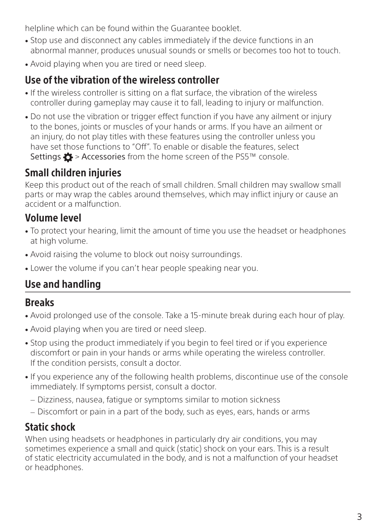helpline which can be found within the Guarantee booklet.

- Stop use and disconnect any cables immediately if the device functions in an abnormal manner, produces unusual sounds or smells or becomes too hot to touch.
- Avoid playing when you are tired or need sleep.

#### Use of the vibration of the wireless controller

- If the wireless controller is sitting on a flat surface, the vibration of the wireless controller during gameplay may cause it to fall, leading to injury or malfunction.
- Do not use the vibration or trigger effect function if you have any ailment or injury to the bones, joints or muscles of your hands or arms. If you have an ailment or an injury, do not play titles with these features using the controller unless you have set those functions to "Off". To enable or disable the features, select Settings  $\bullet$  > Accessories from the home screen of the PS5™ console.

### Small children injuries

Keep this product out of the reach of small children. Small children may swallow small parts or may wrap the cables around themselves, which may inflict injury or cause an accident or a malfunction.

#### Volume level

- <sup>ˎ</sup> To protect your hearing, limit the amount of time you use the headset or headphones at high volume.
- <sup>ˎ</sup> Avoid raising the volume to block out noisy surroundings.
- Lower the volume if you can't hear people speaking near you.

### Use and handling

#### Breaks

- <sup>ˎ</sup> Avoid prolonged use of the console. Take a 15-minute break during each hour of play.
- <sup>ˎ</sup> Avoid playing when you are tired or need sleep.
- <sup>ˎ</sup> Stop using the product immediately if you begin to feel tired or if you experience discomfort or pain in your hands or arms while operating the wireless controller. If the condition persists, consult a doctor.
- <sup>ˎ</sup> If you experience any of the following health problems, discontinue use of the console immediately. If symptoms persist, consult a doctor.
	- Dizziness, nausea, fatigue or symptoms similar to motion sickness
	- Discomfort or pain in a part of the body, such as eyes, ears, hands or arms

### Static shock

When using headsets or headphones in particularly dry air conditions, you may sometimes experience a small and quick (static) shock on your ears. This is a result of static electricity accumulated in the body, and is not a malfunction of your headset or headphones.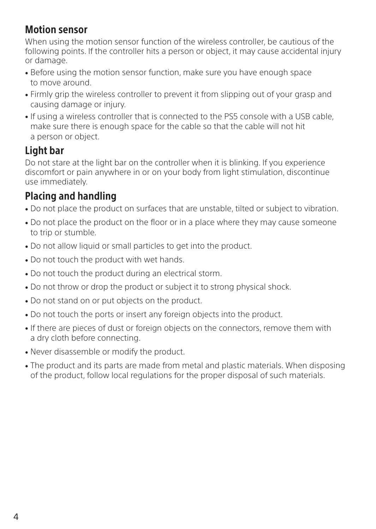#### Motion sensor

When using the motion sensor function of the wireless controller, be cautious of the following points. If the controller hits a person or object, it may cause accidental injury or damage.

- Before using the motion sensor function, make sure you have enough space to move around.
- Firmly grip the wireless controller to prevent it from slipping out of your grasp and causing damage or injury.
- <sup>ˎ</sup> If using a wireless controller that is connected to the PS5 console with a USB cable, make sure there is enough space for the cable so that the cable will not hit a person or object.

#### Light bar

Do not stare at the light bar on the controller when it is blinking. If you experience discomfort or pain anywhere in or on your body from light stimulation, discontinue use immediately.

#### Placing and handling

- Do not place the product on surfaces that are unstable, tilted or subject to vibration.
- Do not place the product on the floor or in a place where they may cause someone to trip or stumble.
- Do not allow liquid or small particles to get into the product.
- Do not touch the product with wet hands.
- <sup>ˎ</sup> Do not touch the product during an electrical storm.
- Do not throw or drop the product or subject it to strong physical shock.
- Do not stand on or put objects on the product.
- <sup>ˎ</sup> Do not touch the ports or insert any foreign objects into the product.
- <sup>ˎ</sup> If there are pieces of dust or foreign objects on the connectors, remove them with a dry cloth before connecting.
- <sup>ˎ</sup> Never disassemble or modify the product.
- The product and its parts are made from metal and plastic materials. When disposing of the product, follow local regulations for the proper disposal of such materials.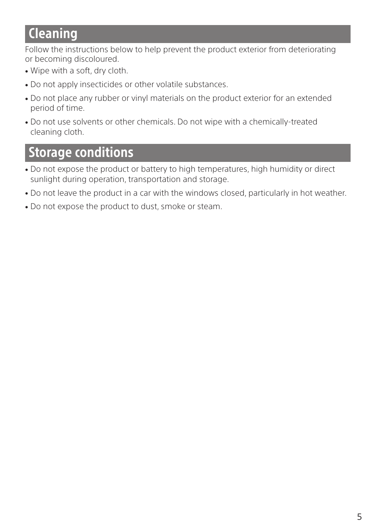## **Cleaning**

Follow the instructions below to help prevent the product exterior from deteriorating or becoming discoloured.

- Wipe with a soft, dry cloth.
- <sup>ˎ</sup> Do not apply insecticides or other volatile substances.
- <sup>ˎ</sup> Do not place any rubber or vinyl materials on the product exterior for an extended period of time.
- <sup>ˎ</sup> Do not use solvents or other chemicals. Do not wipe with a chemically-treated cleaning cloth.

## Storage conditions

- Do not expose the product or battery to high temperatures, high humidity or direct sunlight during operation, transportation and storage.
- <sup>ˎ</sup> Do not leave the product in a car with the windows closed, particularly in hot weather.
- <sup>ˎ</sup> Do not expose the product to dust, smoke or steam.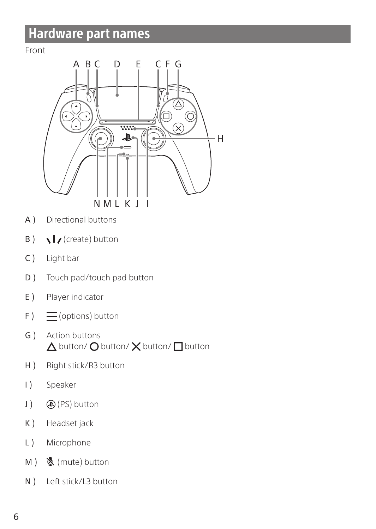## Hardware part names

#### Front



- A ) Directional buttons
- $\mathsf{B}$  )  $\lambda$  / (create) button
- C ) Light bar
- D ) Touch pad/touch pad button
- E ) Player indicator
- $F$ )  $\equiv$  (options) button
- G ) Action buttons  $\triangle$  button/  $\bigcirc$  button/  $\times$  button/  $\square$  button
- H ) Right stick/R3 button
- I ) Speaker
- J ) (PS) button
- K ) Headset jack
- L) Microphone
- M ) & (mute) button
- N ) Left stick/L3 button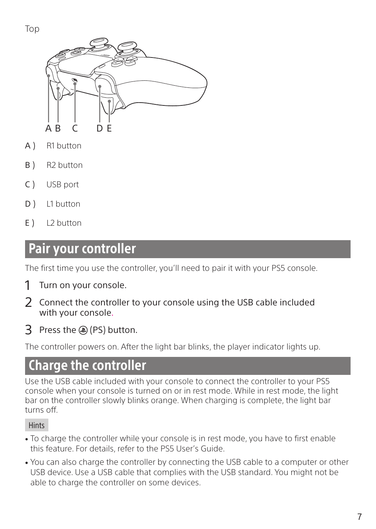

- A ) R1 button
- B<sub>1</sub> R<sub>2</sub> button
- C ) USB port
- D ) L1 button
- $E$  )  $12$  button

### Pair your controller

The first time you use the controller, you'll need to pair it with your PS5 console.

- 1 Turn on your console.
- 2 Connect the controller to your console using the USB cable included with your console.
- 3 Press the (a) (PS) button.

The controller powers on. After the light bar blinks, the player indicator lights up.

## Charge the controller

Use the USB cable included with your console to connect the controller to your PS5 console when your console is turned on or in rest mode. While in rest mode, the light bar on the controller slowly blinks orange. When charging is complete, the light bar turns off.

#### **Hints**

- <sup>ˎ</sup> To charge the controller while your console is in rest mode, you have to first enable this feature. For details, refer to the PS5 User's Guide.
- <sup>ˎ</sup> You can also charge the controller by connecting the USB cable to a computer or other USB device. Use a USB cable that complies with the USB standard. You might not be able to charge the controller on some devices.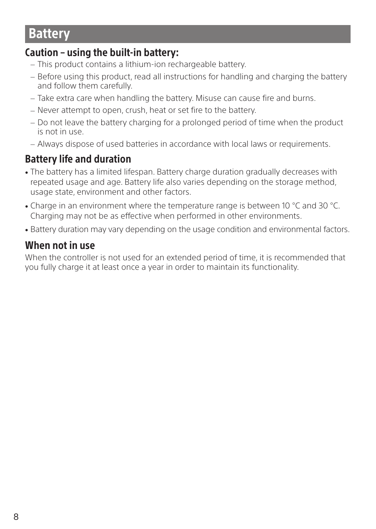## Battery

#### Caution – using the built-in battery:

- This product contains a lithium-ion rechargeable battery.
- Before using this product, read all instructions for handling and charging the battery and follow them carefully.
- Take extra care when handling the battery. Misuse can cause fire and burns.
- Never attempt to open, crush, heat or set fire to the battery.
- Do not leave the battery charging for a prolonged period of time when the product is not in use.
- Always dispose of used batteries in accordance with local laws or requirements.

### Battery life and duration

- The battery has a limited lifespan. Battery charge duration gradually decreases with repeated usage and age. Battery life also varies depending on the storage method, usage state, environment and other factors.
- <sup>ˎ</sup> Charge in an environment where the temperature range is between 10 °C and 30 °C. Charging may not be as effective when performed in other environments.
- Battery duration may vary depending on the usage condition and environmental factors.

#### When not in use

When the controller is not used for an extended period of time, it is recommended that you fully charge it at least once a year in order to maintain its functionality.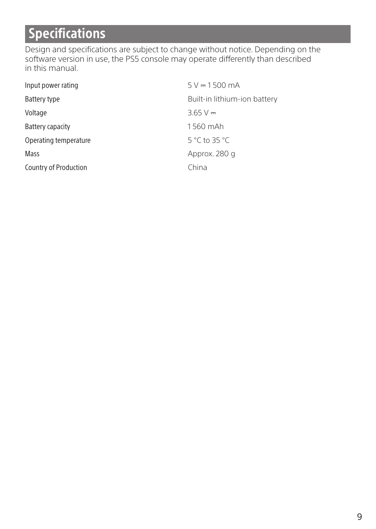# **Specifications**

Design and specifications are subject to change without notice. Depending on the software version in use, the PS5 console may operate differently than described in this manual.

| Input power rating    | $5 V = 1500 mA$              |
|-----------------------|------------------------------|
| Battery type          | Built-in lithium-ion battery |
| Voltage               | $3.65V =$                    |
| Battery capacity      | 1560 mAh                     |
| Operating temperature | 5 °C to 35 °C                |
| Mass                  | Approx. 280 g                |
| Country of Production | China                        |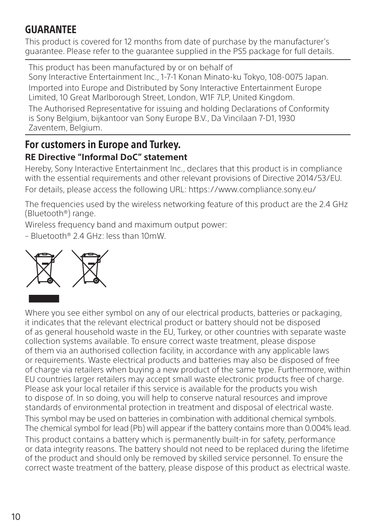### **GUARANTEF**

This product is covered for 12 months from date of purchase by the manufacturer's guarantee. Please refer to the guarantee supplied in the PS5 package for full details.

This product has been manufactured by or on behalf of Sony Interactive Entertainment Inc., 1-7-1 Konan Minato-ku Tokyo, 108-0075 Japan. Imported into Europe and Distributed by Sony Interactive Entertainment Europe Limited, 10 Great Marlborough Street, London, W1F 7LP, United Kingdom. The Authorised Representative for issuing and holding Declarations of Conformity is Sony Belgium, bijkantoor van Sony Europe B.V., Da Vincilaan 7-D1, 1930

Zaventem, Belgium.

#### For customers in Europe and Turkey. **RE Directive "Informal DoC" statement**

Hereby, Sony Interactive Entertainment Inc., declares that this product is in compliance with the essential requirements and other relevant provisions of Directive 2014/53/EU. For details, please access the following URL: https://www.compliance.sony.eu/

The frequencies used by the wireless networking feature of this product are the 2.4 GHz (Bluetooth®) range.

Wireless frequency band and maximum output power:

– Bluetooth® 2.4 GHz: less than 10mW.



Where you see either symbol on any of our electrical products, batteries or packaging, it indicates that the relevant electrical product or battery should not be disposed of as general household waste in the EU, Turkey, or other countries with separate waste collection systems available. To ensure correct waste treatment, please dispose of them via an authorised collection facility, in accordance with any applicable laws or requirements. Waste electrical products and batteries may also be disposed of free of charge via retailers when buying a new product of the same type. Furthermore, within EU countries larger retailers may accept small waste electronic products free of charge. Please ask your local retailer if this service is available for the products you wish to dispose of. In so doing, you will help to conserve natural resources and improve standards of environmental protection in treatment and disposal of electrical waste. This symbol may be used on batteries in combination with additional chemical symbols. The chemical symbol for lead (Pb) will appear if the battery contains more than 0.004% lead. This product contains a battery which is permanently built-in for safety, performance or data integrity reasons. The battery should not need to be replaced during the lifetime of the product and should only be removed by skilled service personnel. To ensure the correct waste treatment of the battery, please dispose of this product as electrical waste.